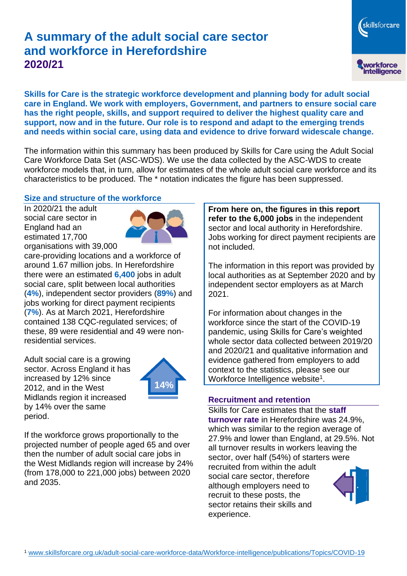# **A summary of the adult social care sector and workforce in Herefordshire 2020/21**

workforce<br>intelligence **Skills for Care is the strategic workforce development and planning body for adult social** 

skillsforcare

**care in England. We work with employers, Government, and partners to ensure social care has the right people, skills, and support required to deliver the highest quality care and support, now and in the future. Our role is to respond and adapt to the emerging trends and needs within social care, using data and evidence to drive forward widescale change.**

The information within this summary has been produced by Skills for Care using the Adult Social Care Workforce Data Set (ASC-WDS). We use the data collected by the ASC-WDS to create workforce models that, in turn, allow for estimates of the whole adult social care workforce and its characteristics to be produced. The \* notation indicates the figure has been suppressed.

# **Size and structure of the workforce**

In 2020/21 the adult social care sector in England had an estimated 17,700 organisations with 39,000



care-providing locations and a workforce of around 1.67 million jobs. In Herefordshire there were an estimated **6,400** jobs in adult social care, split between local authorities (**4%**), independent sector providers (**89%**) and jobs working for direct payment recipients (**7%**). As at March 2021, Herefordshire contained 138 CQC-regulated services; of these, 89 were residential and 49 were nonresidential services.

Adult social care is a growing sector. Across England it has increased by 12% since 2012, and in the West Midlands region it increased by 14% over the same period.



If the workforce grows proportionally to the projected number of people aged 65 and over then the number of adult social care jobs in the West Midlands region will increase by 24% (from 178,000 to 221,000 jobs) between 2020 and 2035.

**From here on, the figures in this report refer to the 6,000 jobs** in the independent sector and local authority in Herefordshire. Jobs working for direct payment recipients are not included.

The information in this report was provided by local authorities as at September 2020 and by independent sector employers as at March 2021.

For information about changes in the workforce since the start of the COVID-19 pandemic, using Skills for Care's weighted whole sector data collected between 2019/20 and 2020/21 and qualitative information and evidence gathered from employers to add context to the statistics, please see our Workforce Intelligence website<sup>1</sup>.

### **Recruitment and retention**

Skills for Care estimates that the **staff turnover rate** in Herefordshire was 24.9%, which was similar to the region average of 27.9% and lower than England, at 29.5%. Not all turnover results in workers leaving the sector, over half (54%) of starters were recruited from within the adult social care sector, therefore although employers need to recruit to these posts, the sector retains their skills and experience.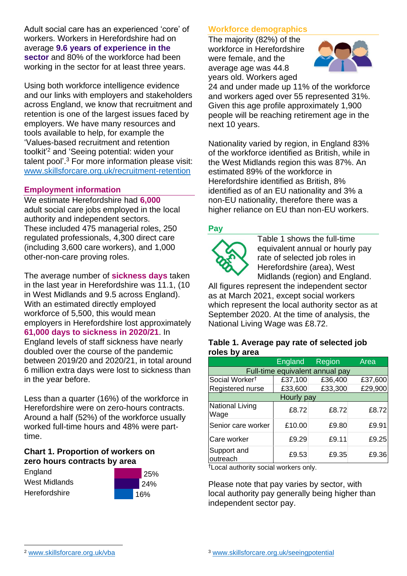Adult social care has an experienced 'core' of workers. Workers in Herefordshire had on average **9.6 years of experience in the sector** and 80% of the workforce had been working in the sector for at least three years.

Using both workforce intelligence evidence and our links with employers and stakeholders across England, we know that recruitment and retention is one of the largest issues faced by employers. We have many resources and tools available to help, for example the 'Values-based recruitment and retention toolkit'<sup>2</sup> and 'Seeing potential: widen your talent pool'. <sup>3</sup> For more information please visit: [www.skillsforcare.org.uk/recruitment-retention](http://www.skillsforcare.org.uk/recruitment-retention)

### **Employment information**

We estimate Herefordshire had **6,000** adult social care jobs employed in the local authority and independent sectors. These included 475 managerial roles, 250 regulated professionals, 4,300 direct care (including 3,600 care workers), and 1,000 other-non-care proving roles.

The average number of **sickness days** taken in the last year in Herefordshire was 11.1, (10 in West Midlands and 9.5 across England). With an estimated directly employed workforce of 5,500, this would mean employers in Herefordshire lost approximately **61,000 days to sickness in 2020/21**. In England levels of staff sickness have nearly doubled over the course of the pandemic between 2019/20 and 2020/21, in total around 6 million extra days were lost to sickness than in the year before.

Less than a quarter (16%) of the workforce in Herefordshire were on zero-hours contracts. Around a half (52%) of the workforce usually worked full-time hours and 48% were parttime.

#### **Chart 1. Proportion of workers on zero hours contracts by area**

England West Midlands **Herefordshire** 



## **Workforce demographics**

The majority (82%) of the workforce in Herefordshire were female, and the average age was 44.8 years old. Workers aged



24 and under made up 11% of the workforce and workers aged over 55 represented 31%. Given this age profile approximately 1,900 people will be reaching retirement age in the next 10 years.

Nationality varied by region, in England 83% of the workforce identified as British, while in the West Midlands region this was 87%. An estimated 89% of the workforce in Herefordshire identified as British, 8% identified as of an EU nationality and 3% a non-EU nationality, therefore there was a higher reliance on EU than non-EU workers.

### **Pay**



Table 1 shows the full-time equivalent annual or hourly pay rate of selected job roles in Herefordshire (area), West Midlands (region) and England.

All figures represent the independent sector as at March 2021, except social workers which represent the local authority sector as at September 2020. At the time of analysis, the National Living Wage was £8.72.

#### **Table 1. Average pay rate of selected job roles by area**

|                                 | <b>England</b> | Region  | Area    |
|---------------------------------|----------------|---------|---------|
| Full-time equivalent annual pay |                |         |         |
| Social Worker <sup>t</sup>      | £37,100        | £36,400 | £37,600 |
| Registered nurse                | £33,600        | £33,300 | £29,900 |
| Hourly pay                      |                |         |         |
| National Living<br>Wage         | £8.72          | £8.72   | £8.72   |
| Senior care worker              | £10.00         | £9.80   | £9.91   |
| Care worker                     | £9.29          | £9.11   | £9.25   |
| Support and<br>outreach         | £9.53          | £9.35   | £9.36   |

†Local authority social workers only.

Please note that pay varies by sector, with local authority pay generally being higher than independent sector pay.

[www.skillsforcare.org.uk/vba](http://www.skillsforcare.org.uk/vba)